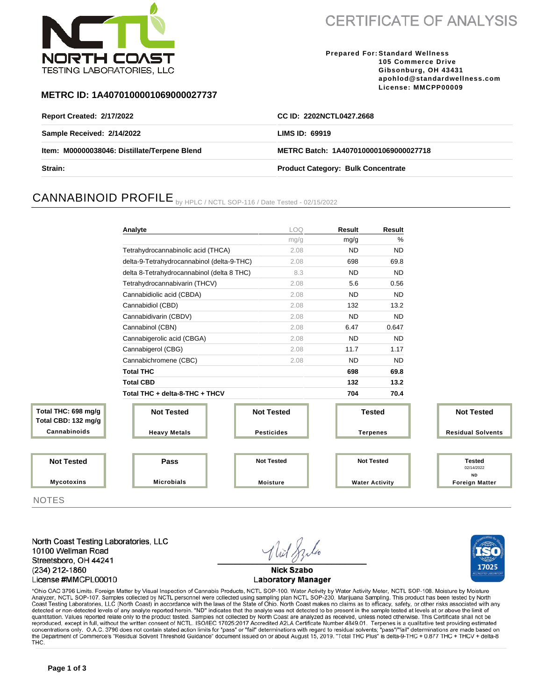

**CERTIFICATE OF ANALYSIS** 

**Prepared For: Standard Wellness 105 Commerce Drive Gibsonburg, OH 43431 apohlod@standardwellness.com License: MMCPP00009**

17025

### **METRC ID: 1A4070100001069000027737**

| <b>Report Created: 2/17/2022</b>             | CC ID: 2202NCTL0427.2668                  |
|----------------------------------------------|-------------------------------------------|
| Sample Received: 2/14/2022                   | LIMS ID: 69919                            |
| Item: M00000038046: Distillate/Terpene Blend | METRC Batch: 1A4070100001069000027718     |
| Strain:                                      | <b>Product Category: Bulk Concentrate</b> |

# CANNABINOID PROFILE by HPLC / NCTL SOP-116 / Date Tested - 02/15/2022

|                                            | Analyte                                    | <b>LOQ</b>        | Result          | Result                |                                          |
|--------------------------------------------|--------------------------------------------|-------------------|-----------------|-----------------------|------------------------------------------|
|                                            |                                            | mg/g              | mg/g            | %                     |                                          |
|                                            | Tetrahydrocannabinolic acid (THCA)         | 2.08              | <b>ND</b>       | <b>ND</b>             |                                          |
|                                            | delta-9-Tetrahydrocannabinol (delta-9-THC) | 2.08              | 698             | 69.8                  |                                          |
|                                            | delta 8-Tetrahydrocannabinol (delta 8 THC) | 8.3               | <b>ND</b>       | <b>ND</b>             |                                          |
|                                            | Tetrahydrocannabivarin (THCV)              | 2.08              | 5.6             | 0.56                  |                                          |
|                                            | Cannabidiolic acid (CBDA)                  | 2.08              | <b>ND</b>       | <b>ND</b>             |                                          |
|                                            | Cannabidiol (CBD)                          | 2.08              | 132             | 13.2                  |                                          |
|                                            | Cannabidivarin (CBDV)                      | 2.08              | <b>ND</b>       | <b>ND</b>             |                                          |
|                                            | Cannabinol (CBN)                           | 2.08              | 6.47            | 0.647                 |                                          |
|                                            | Cannabigerolic acid (CBGA)                 | 2.08              | <b>ND</b>       | <b>ND</b>             |                                          |
|                                            | Cannabigerol (CBG)                         | 2.08              | 11.7            | 1.17                  |                                          |
|                                            | Cannabichromene (CBC)                      | 2.08              | <b>ND</b>       | <b>ND</b>             |                                          |
|                                            | <b>Total THC</b>                           |                   | 698             | 69.8                  |                                          |
|                                            | <b>Total CBD</b>                           |                   | 132             | 13.2                  |                                          |
|                                            | Total THC + delta-8-THC + THCV             |                   | 704             | 70.4                  |                                          |
| Total THC: 698 mg/g<br>Total CBD: 132 mg/g | <b>Not Tested</b>                          | <b>Not Tested</b> | <b>Tested</b>   |                       | <b>Not Tested</b>                        |
| Cannabinoids                               | <b>Heavy Metals</b>                        | <b>Pesticides</b> | <b>Terpenes</b> |                       | <b>Residual Solvents</b>                 |
|                                            |                                            |                   |                 |                       |                                          |
| <b>Not Tested</b>                          | Pass                                       | <b>Not Tested</b> |                 | <b>Not Tested</b>     | <b>Tested</b><br>02/14/2022<br><b>ND</b> |
| <b>Mycotoxins</b>                          | <b>Microbials</b>                          | <b>Moisture</b>   |                 | <b>Water Activity</b> | <b>Foreign Matter</b>                    |

**NOTES** 

North Coast Testing Laboratories, LLC 10100 Wellman Road Streetsboro, OH 44241 (234) 212-1860 License #MMCPL00010

**Nick Szabo Laboratory Manager** 

\*Ohio OAC 3796 Limits. Foreign Matter by Visual Inspection of Cannabis Products, NCTL SOP-100. Water Activity by Water Activity Meter, NCTL SOP-108. Moisture by Moisture Analyzer, NCTL SOP-107. Samples collected by NCTL personnel were collected using sampling plan NCTL SOP-230, Marijuana Sampling. This product has been tested by North Coast Testing Laboratories, LLC (North Coast) in accordance with the laws of the State of Ohio. North Coast makes no claims as to efficacy, safety, or other risks associated with any detected or non-detected levels of any quantitation. Values reported relate only to the product tested. Samples not collected by North Coast are analyzed as received, unless noted otherwise. This Certificate shall not be reproduced, except in full, without the written consent of NCTL. ISO/IEC 17025:2017 Accredited A2LA Certificate Number 4849.01. Terpenes is a qualitative test providing estimated concentrations only. O.A.C. 3796 does not contain stated action limits for "pass" or "fail" determinations with regard to residual solvents; "pass"/"fail" determinations are made based on the Department of Commerce's "Resi THC.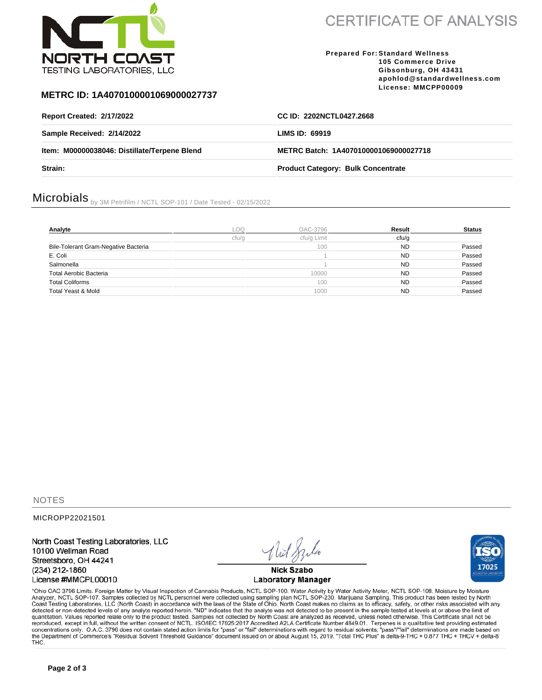

**CERTIFICATE OF ANALYSIS** 

#### **Prepared For: Standard Wellness 105 Commerce Drive Gibsonburg, OH 43431 apohlod@standardwellness.com License: MMCPP00009**

### **METRC ID: 1A4070100001069000027737**

| <b>Report Created: 2/17/2022</b>             | CC ID: 2202NCTL0427.2668                  |  |
|----------------------------------------------|-------------------------------------------|--|
| Sample Received: 2/14/2022                   | LIMS ID: 69919                            |  |
| Item: M00000038046: Distillate/Terpene Blend | METRC Batch: 1A4070100001069000027718     |  |
| Strain:                                      | <b>Product Category: Bulk Concentrate</b> |  |

# Microbials by 3M Petrifilm / NCTL SOP-101 / Date Tested - 02/15/2022

| Analyte                              | .oo   | OAC-3796    | Result    | <b>Status</b> |
|--------------------------------------|-------|-------------|-----------|---------------|
|                                      | cfu/a | cfu/g Limit | cfu/q     |               |
| Bile-Tolerant Gram-Negative Bacteria |       | 100         | <b>ND</b> | Passed        |
| E. Coli                              |       |             | <b>ND</b> | Passed        |
| Salmonella                           |       |             | <b>ND</b> | Passed        |
| Total Aerobic Bacteria               |       | 10000       | <b>ND</b> | Passed        |
| <b>Total Coliforms</b>               |       | 100         | <b>ND</b> | Passed        |
| Total Yeast & Mold                   |       | 1000        | ND.       | Passed        |

**NOTES** 

MICROPP22021501

North Coast Testing Laboratories, LLC 10100 Wellman Road Streetsboro, OH 44241 (234) 212-1860 License #MMCPL00010

**Nick Szabo Laboratory Manager** 



\*Ohio OAC 3796 Limits. Foreign Matter by Visual Inspection of Cannabis Products, NCTL SOP-100. Water Activity by Water Activity Meter, NCTL SOP-108. Moisture by Moisture Analyzer, NCTL SOP-107. Samples collected by NCTL pe quantitation. Values reported relate only to the product tested. Samples not collected by North Coast are analyzed as received, unless noted otherwise. This Certificate shall not be reproduced, except in full, without the written consent of NCTL. ISO/IEC 17025:2017 Accredited A2LA Certificate Number 4849.01. Terpenes is a qualitative test providing estimated concentrations only. O.A.C. 3796 does not contain stated action limits for "pass" or "fail" determinations with regard to residual solvents; "pass"/"fail" determinations are made based on the Department of Commerce's "Resi THC.